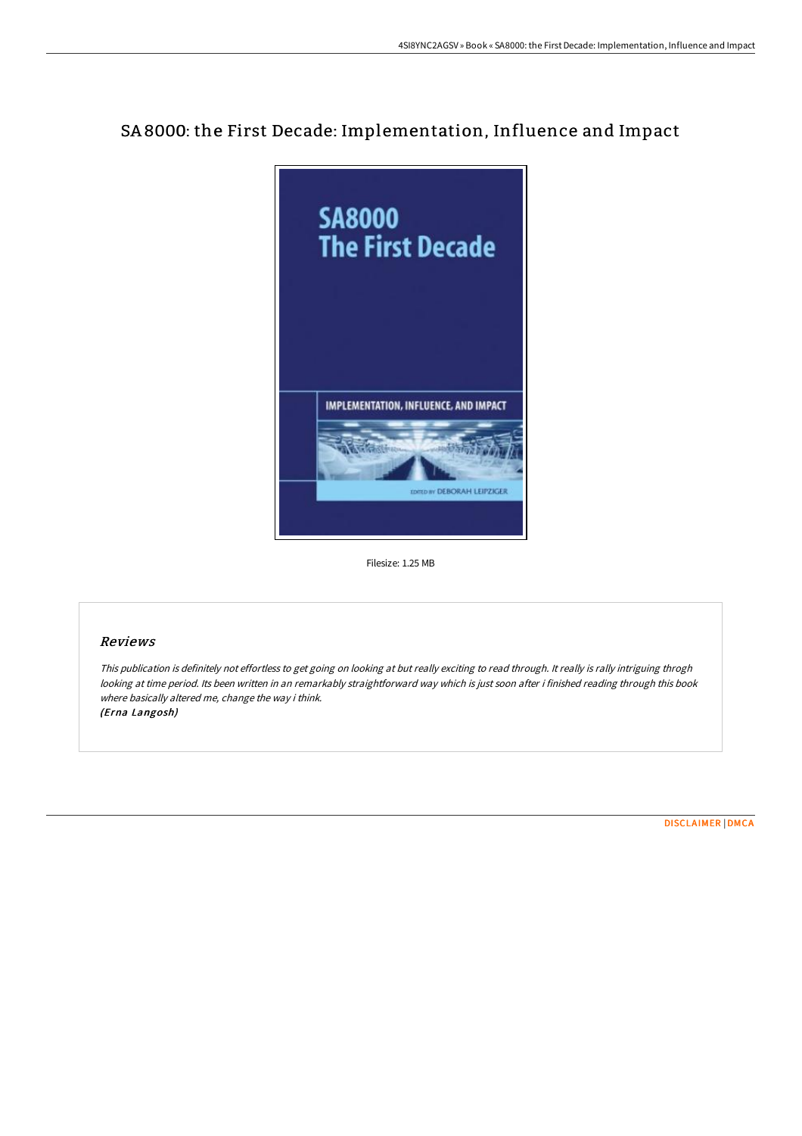# SA 8000: the First Decade: Implementation, Influence and Impact



Filesize: 1.25 MB

## Reviews

This publication is definitely not effortless to get going on looking at but really exciting to read through. It really is rally intriguing throgh looking at time period. Its been written in an remarkably straightforward way which is just soon after i finished reading through this book where basically altered me, change the way i think. (Erna Langosh)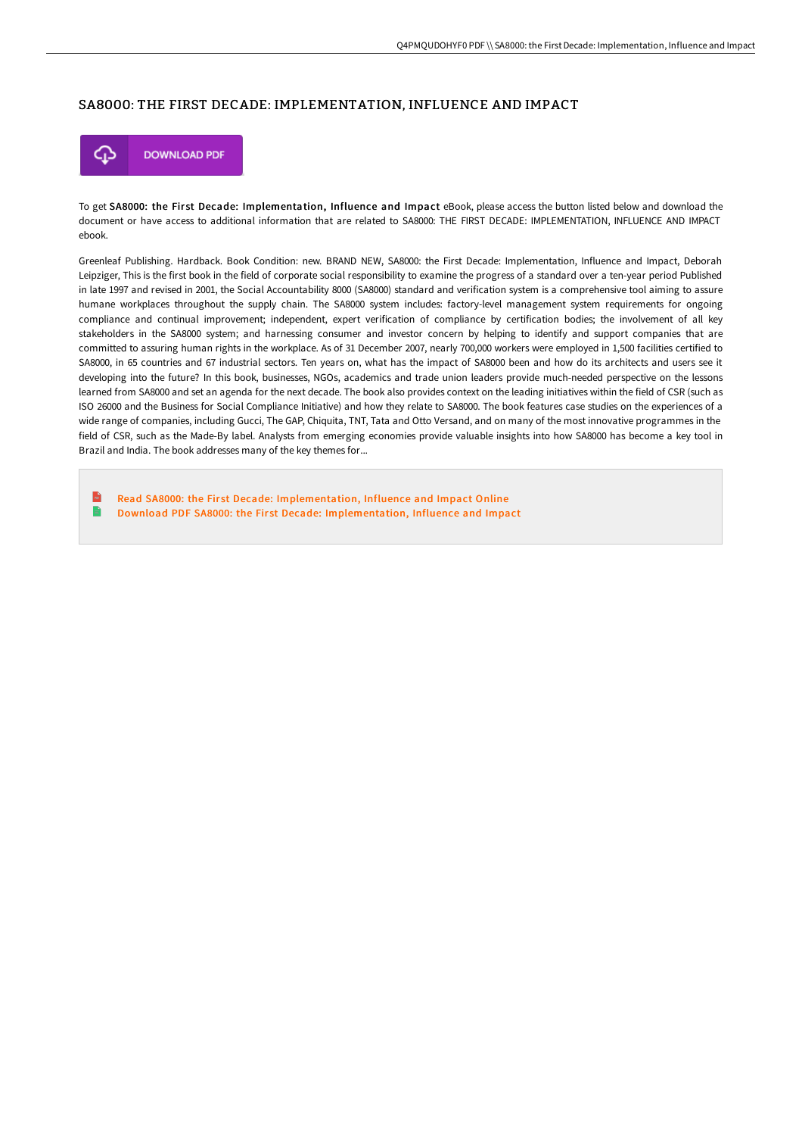#### SA8000: THE FIRST DECADE: IMPLEMENTATION, INFLUENCE AND IMPACT



To get SA8000: the First Decade: Implementation, Influence and Impact eBook, please access the button listed below and download the document or have access to additional information that are related to SA8000: THE FIRST DECADE: IMPLEMENTATION, INFLUENCE AND IMPACT ebook.

Greenleaf Publishing. Hardback. Book Condition: new. BRAND NEW, SA8000: the First Decade: Implementation, Influence and Impact, Deborah Leipziger, This is the first book in the field of corporate social responsibility to examine the progress of a standard over a ten-year period Published in late 1997 and revised in 2001, the Social Accountability 8000 (SA8000) standard and verification system is a comprehensive tool aiming to assure humane workplaces throughout the supply chain. The SA8000 system includes: factory-level management system requirements for ongoing compliance and continual improvement; independent, expert verification of compliance by certification bodies; the involvement of all key stakeholders in the SA8000 system; and harnessing consumer and investor concern by helping to identify and support companies that are committed to assuring human rights in the workplace. As of 31 December 2007, nearly 700,000 workers were employed in 1,500 facilities certified to SA8000, in 65 countries and 67 industrial sectors. Ten years on, what has the impact of SA8000 been and how do its architects and users see it developing into the future? In this book, businesses, NGOs, academics and trade union leaders provide much-needed perspective on the lessons learned from SA8000 and set an agenda for the next decade. The book also provides context on the leading initiatives within the field of CSR (such as ISO 26000 and the Business for Social Compliance Initiative) and how they relate to SA8000. The book features case studies on the experiences of a wide range of companies, including Gucci, The GAP, Chiquita, TNT, Tata and Otto Versand, and on many of the most innovative programmes in the field of CSR, such as the Made-By label. Analysts from emerging economies provide valuable insights into how SA8000 has become a key tool in Brazil and India. The book addresses many of the key themes for...

 $\mathbf{R}$ Read SA8000: the First Decade: [Implementation,](http://albedo.media/sa8000-the-first-decade-implementation-influence.html) Influence and Impact Online  $\blacksquare$ Download PDF SA8000: the First Decade: [Implementation,](http://albedo.media/sa8000-the-first-decade-implementation-influence.html) Influence and Impact